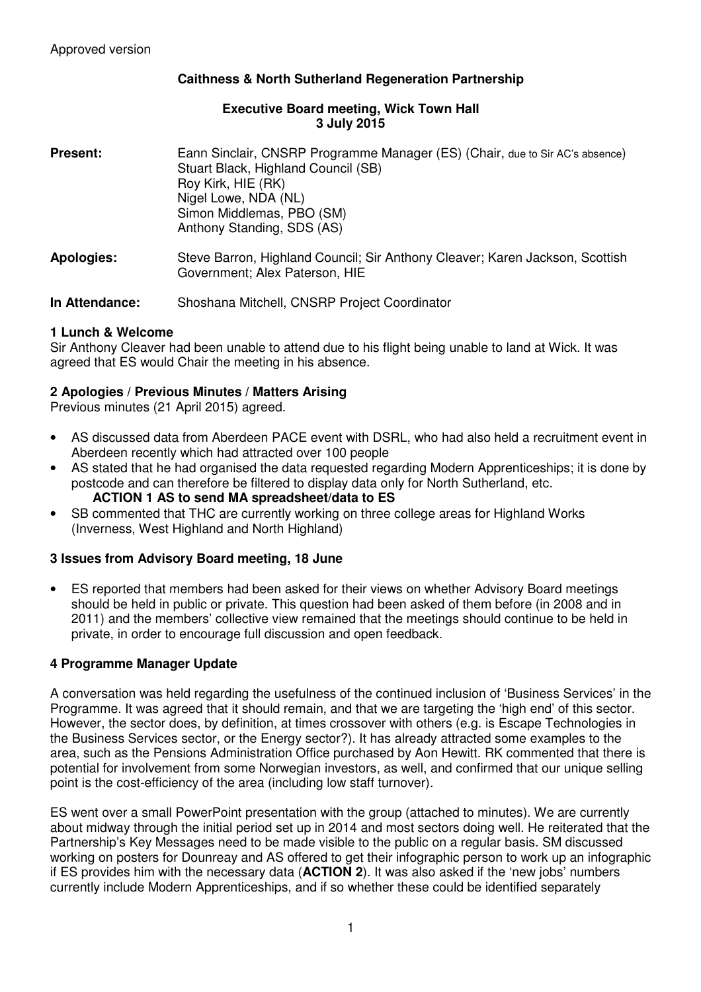## **Caithness & North Sutherland Regeneration Partnership**

#### **Executive Board meeting, Wick Town Hall 3 July 2015**

| <b>Present:</b>   | Eann Sinclair, CNSRP Programme Manager (ES) (Chair, due to Sir AC's absence)<br>Stuart Black, Highland Council (SB)<br>Roy Kirk, HIE (RK)<br>Nigel Lowe, NDA (NL)<br>Simon Middlemas, PBO (SM)<br>Anthony Standing, SDS (AS) |  |
|-------------------|------------------------------------------------------------------------------------------------------------------------------------------------------------------------------------------------------------------------------|--|
| <b>Apologies:</b> | Steve Barron, Highland Council; Sir Anthony Cleaver; Karen Jackson, Scottish<br>Government; Alex Paterson, HIE                                                                                                               |  |

**In Attendance:** Shoshana Mitchell, CNSRP Project Coordinator

### **1 Lunch & Welcome**

Sir Anthony Cleaver had been unable to attend due to his flight being unable to land at Wick. It was agreed that ES would Chair the meeting in his absence.

### **2 Apologies / Previous Minutes / Matters Arising**

Previous minutes (21 April 2015) agreed.

- AS discussed data from Aberdeen PACE event with DSRL, who had also held a recruitment event in Aberdeen recently which had attracted over 100 people
- AS stated that he had organised the data requested regarding Modern Apprenticeships; it is done by postcode and can therefore be filtered to display data only for North Sutherland, etc. **ACTION 1 AS to send MA spreadsheet/data to ES**
- SB commented that THC are currently working on three college areas for Highland Works (Inverness, West Highland and North Highland)

### **3 Issues from Advisory Board meeting, 18 June**

• ES reported that members had been asked for their views on whether Advisory Board meetings should be held in public or private. This question had been asked of them before (in 2008 and in 2011) and the members' collective view remained that the meetings should continue to be held in private, in order to encourage full discussion and open feedback.

### **4 Programme Manager Update**

A conversation was held regarding the usefulness of the continued inclusion of 'Business Services' in the Programme. It was agreed that it should remain, and that we are targeting the 'high end' of this sector. However, the sector does, by definition, at times crossover with others (e.g. is Escape Technologies in the Business Services sector, or the Energy sector?). It has already attracted some examples to the area, such as the Pensions Administration Office purchased by Aon Hewitt. RK commented that there is potential for involvement from some Norwegian investors, as well, and confirmed that our unique selling point is the cost-efficiency of the area (including low staff turnover).

ES went over a small PowerPoint presentation with the group (attached to minutes). We are currently about midway through the initial period set up in 2014 and most sectors doing well. He reiterated that the Partnership's Key Messages need to be made visible to the public on a regular basis. SM discussed working on posters for Dounreay and AS offered to get their infographic person to work up an infographic if ES provides him with the necessary data (**ACTION 2**). It was also asked if the 'new jobs' numbers currently include Modern Apprenticeships, and if so whether these could be identified separately